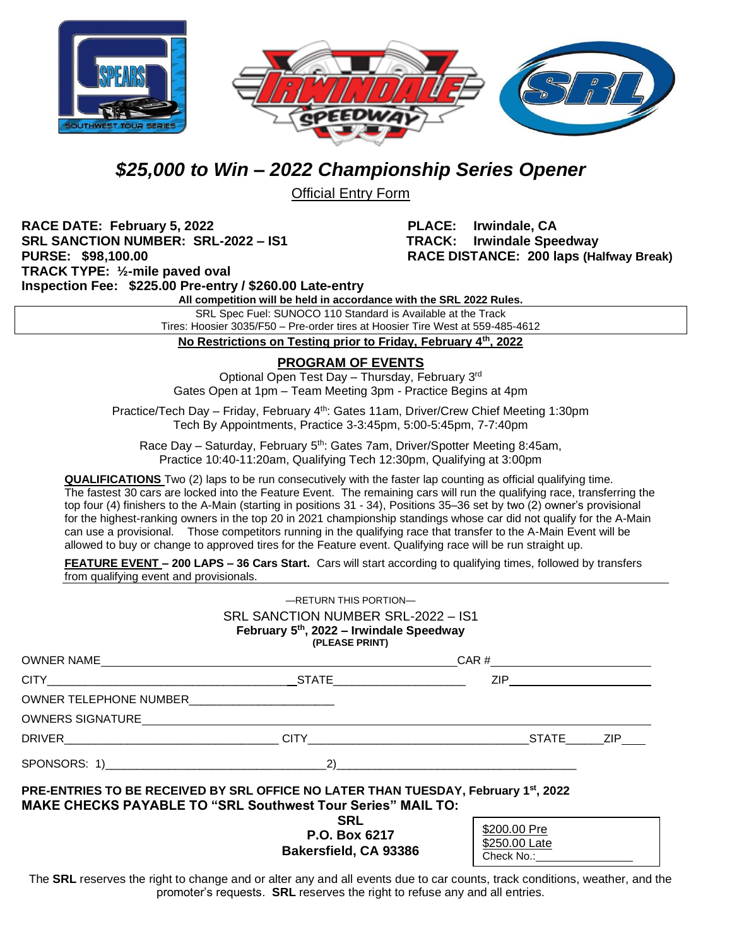



## *\$25,000 to Win – 2022 Championship Series Opener*

Official Entry Form

**RACE DATE: February 5, 2022 PLACE: Irwindale, CA SRL SANCTION NUMBER: SRL-2022 – IS1 TRACK: Irwindale Speedway PURSE: \$98,100.00 RACE DISTANCE: 200 laps (Halfway Break) TRACK TYPE: ½-mile paved oval Inspection Fee: \$225.00 Pre-entry / \$260.00 Late-entry**

**All competition will be held in accordance with the SRL 2022 Rules.**

SRL Spec Fuel: SUNOCO 110 Standard is Available at the Track Tires: Hoosier 3035/F50 – Pre-order tires at Hoosier Tire West at 559-485-4612

**No Restrictions on Testing prior to Friday, February 4 th, 2022**

## **PROGRAM OF EVENTS**

Optional Open Test Day - Thursday, February 3rd Gates Open at 1pm – Team Meeting 3pm - Practice Begins at 4pm

Practice/Tech Day - Friday, February 4<sup>th</sup>: Gates 11am, Driver/Crew Chief Meeting 1:30pm Tech By Appointments, Practice 3-3:45pm, 5:00-5:45pm, 7-7:40pm

Race Day - Saturday, February 5<sup>th</sup>: Gates 7am, Driver/Spotter Meeting 8:45am, Practice 10:40-11:20am, Qualifying Tech 12:30pm, Qualifying at 3:00pm

**QUALIFICATIONS** Two (2) laps to be run consecutively with the faster lap counting as official qualifying time. The fastest 30 cars are locked into the Feature Event. The remaining cars will run the qualifying race, transferring the top four (4) finishers to the A-Main (starting in positions 31 - 34), Positions 35–36 set by two (2) owner's provisional for the highest-ranking owners in the top 20 in 2021 championship standings whose car did not qualify for the A-Main can use a provisional. Those competitors running in the qualifying race that transfer to the A-Main Event will be allowed to buy or change to approved tires for the Feature event. Qualifying race will be run straight up.

**FEATURE EVENT – 200 LAPS – 36 Cars Start.** Cars will start according to qualifying times, followed by transfers from qualifying event and provisionals.

|                                                                                                                                                                                                                                | $-$ RETURN THIS PORTION $-$<br>SRL SANCTION NUMBER SRL-2022 - IS1<br>February 5th, 2022 - Irwindale Speedway<br>(PLEASE PRINT) |                                                                                                                                                                                                                                                                                                                                      |  |  |  |
|--------------------------------------------------------------------------------------------------------------------------------------------------------------------------------------------------------------------------------|--------------------------------------------------------------------------------------------------------------------------------|--------------------------------------------------------------------------------------------------------------------------------------------------------------------------------------------------------------------------------------------------------------------------------------------------------------------------------------|--|--|--|
|                                                                                                                                                                                                                                |                                                                                                                                |                                                                                                                                                                                                                                                                                                                                      |  |  |  |
|                                                                                                                                                                                                                                |                                                                                                                                | ZIP ________________                                                                                                                                                                                                                                                                                                                 |  |  |  |
|                                                                                                                                                                                                                                |                                                                                                                                |                                                                                                                                                                                                                                                                                                                                      |  |  |  |
| OWNERS SIGNATURE MARKER AND A SERIES AND THE SERIES OF THE SERIES OF THE SERIES OF THE SERIES OF THE SERIES OF THE SERIES OF THE SERIES OF THE SERIES OF THE SERIES OF THE SERIES OF THE SERIES OF THE SERIES OF THE SERIES OF |                                                                                                                                |                                                                                                                                                                                                                                                                                                                                      |  |  |  |
|                                                                                                                                                                                                                                |                                                                                                                                |                                                                                                                                                                                                                                                                                                                                      |  |  |  |
|                                                                                                                                                                                                                                |                                                                                                                                | $\overline{2}$ ) and $\overline{2}$ and $\overline{2}$ and $\overline{2}$ and $\overline{2}$ and $\overline{2}$ and $\overline{2}$ and $\overline{2}$ and $\overline{2}$ and $\overline{2}$ and $\overline{2}$ and $\overline{2}$ and $\overline{2}$ and $\overline{2}$ and $\overline{2}$ and $\overline{2}$ and $\overline{2}$ and |  |  |  |
| PRE-ENTRIES TO BE RECEIVED BY SRL OFFICE NO LATER THAN TUESDAY, February 1st, 2022<br><b>MAKE CHECKS PAYABLE TO "SRL Southwest Tour Series" MAIL TO:</b>                                                                       |                                                                                                                                |                                                                                                                                                                                                                                                                                                                                      |  |  |  |
|                                                                                                                                                                                                                                | <b>SRL</b><br>P.O. Box 6217<br>Bakersfield, CA 93386                                                                           | \$200.00 Pre<br>\$250.00 Late<br>Check No.: <b>Check No.:</b>                                                                                                                                                                                                                                                                        |  |  |  |

The SRL reserves the right to change and or alter any and all events due to car counts, track conditions, weather, and the promoter's requests. **SRL** reserves the right to refuse any and all entries.